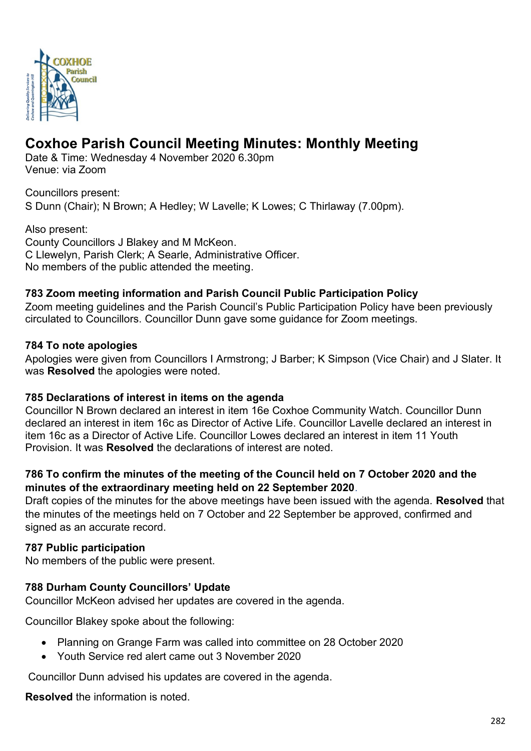

# **Coxhoe Parish Council Meeting Minutes: Monthly Meeting**

Date & Time: Wednesday 4 November 2020 6.30pm Venue: via Zoom

Councillors present: S Dunn (Chair); N Brown; A Hedley; W Lavelle; K Lowes; C Thirlaway (7.00pm).

Also present: County Councillors J Blakey and M McKeon. C Llewelyn, Parish Clerk; A Searle, Administrative Officer. No members of the public attended the meeting.

# **783 Zoom meeting information and Parish Council Public Participation Policy**

Zoom meeting guidelines and the Parish Council's Public Participation Policy have been previously circulated to Councillors. Councillor Dunn gave some guidance for Zoom meetings.

# **784 To note apologies**

Apologies were given from Councillors I Armstrong; J Barber; K Simpson (Vice Chair) and J Slater. It was **Resolved** the apologies were noted.

#### **785 Declarations of interest in items on the agenda**

Councillor N Brown declared an interest in item 16e Coxhoe Community Watch. Councillor Dunn declared an interest in item 16c as Director of Active Life. Councillor Lavelle declared an interest in item 16c as a Director of Active Life. Councillor Lowes declared an interest in item 11 Youth Provision. It was **Resolved** the declarations of interest are noted.

# **786 To confirm the minutes of the meeting of the Council held on 7 October 2020 and the minutes of the extraordinary meeting held on 22 September 2020**.

Draft copies of the minutes for the above meetings have been issued with the agenda. **Resolved** that the minutes of the meetings held on 7 October and 22 September be approved, confirmed and signed as an accurate record.

#### **787 Public participation**

No members of the public were present.

# **788 Durham County Councillors' Update**

Councillor McKeon advised her updates are covered in the agenda.

Councillor Blakey spoke about the following:

- Planning on Grange Farm was called into committee on 28 October 2020
- Youth Service red alert came out 3 November 2020

Councillor Dunn advised his updates are covered in the agenda.

**Resolved** the information is noted.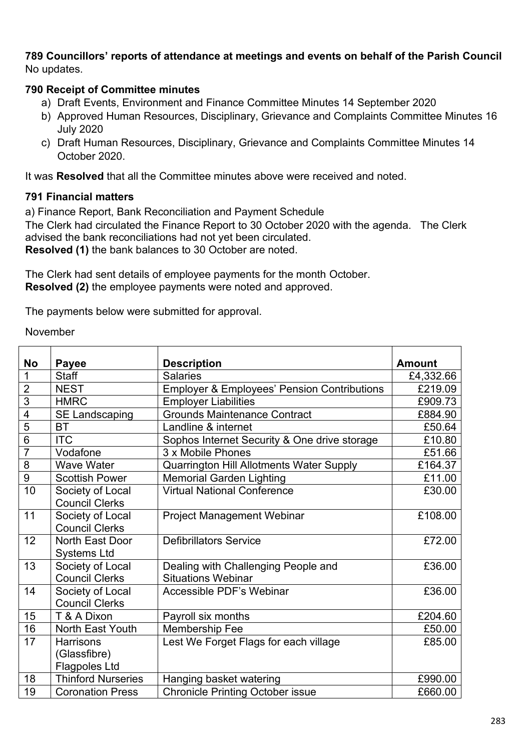#### **789 Councillors' reports of attendance at meetings and events on behalf of the Parish Council** No updates.

#### **790 Receipt of Committee minutes**

- a) Draft Events, Environment and Finance Committee Minutes 14 September 2020
- b) Approved Human Resources, Disciplinary, Grievance and Complaints Committee Minutes 16 July 2020
- c) Draft Human Resources, Disciplinary, Grievance and Complaints Committee Minutes 14 October 2020.

It was **Resolved** that all the Committee minutes above were received and noted.

#### **791 Financial matters**

a) Finance Report, Bank Reconciliation and Payment Schedule

The Clerk had circulated the Finance Report to 30 October 2020 with the agenda. The Clerk advised the bank reconciliations had not yet been circulated. **Resolved (1)** the bank balances to 30 October are noted.

The Clerk had sent details of employee payments for the month October. **Resolved (2)** the employee payments were noted and approved.

The payments below were submitted for approval.

#### November

| <b>No</b>      | <b>Payee</b>              | <b>Description</b>                                     | <b>Amount</b> |
|----------------|---------------------------|--------------------------------------------------------|---------------|
| 1              | <b>Staff</b>              | <b>Salaries</b>                                        | £4,332.66     |
| $\overline{2}$ | <b>NEST</b>               | <b>Employer &amp; Employees' Pension Contributions</b> | £219.09       |
| $\overline{3}$ | <b>HMRC</b>               | <b>Employer Liabilities</b>                            | £909.73       |
| $\overline{4}$ | <b>SE Landscaping</b>     | <b>Grounds Maintenance Contract</b>                    | £884.90       |
| 5              | <b>BT</b>                 | Landline & internet                                    | £50.64        |
| $\overline{6}$ | <b>ITC</b>                | Sophos Internet Security & One drive storage           | £10.80        |
| $\overline{7}$ | Vodafone                  | 3 x Mobile Phones                                      | £51.66        |
| 8              | <b>Wave Water</b>         | <b>Quarrington Hill Allotments Water Supply</b>        | £164.37       |
| $\overline{9}$ | <b>Scottish Power</b>     | <b>Memorial Garden Lighting</b>                        | £11.00        |
| 10             | Society of Local          | <b>Virtual National Conference</b>                     | £30.00        |
|                | <b>Council Clerks</b>     |                                                        |               |
| 11             | Society of Local          | <b>Project Management Webinar</b>                      | £108.00       |
|                | <b>Council Clerks</b>     |                                                        |               |
| 12             | North East Door           | <b>Defibrillators Service</b>                          | £72.00        |
|                | <b>Systems Ltd</b>        |                                                        |               |
| 13             | Society of Local          | Dealing with Challenging People and                    | £36.00        |
|                | <b>Council Clerks</b>     | <b>Situations Webinar</b>                              |               |
| 14             | Society of Local          | Accessible PDF's Webinar                               | £36.00        |
|                | <b>Council Clerks</b>     |                                                        |               |
| 15             | T & A Dixon               | Payroll six months                                     | £204.60       |
| 16             | <b>North East Youth</b>   | Membership Fee                                         | £50.00        |
| 17             | <b>Harrisons</b>          | Lest We Forget Flags for each village                  | £85.00        |
|                | (Glassfibre)              |                                                        |               |
|                | <b>Flagpoles Ltd</b>      |                                                        |               |
| 18             | <b>Thinford Nurseries</b> | Hanging basket watering                                | £990.00       |
| 19             | <b>Coronation Press</b>   | <b>Chronicle Printing October issue</b>                | £660.00       |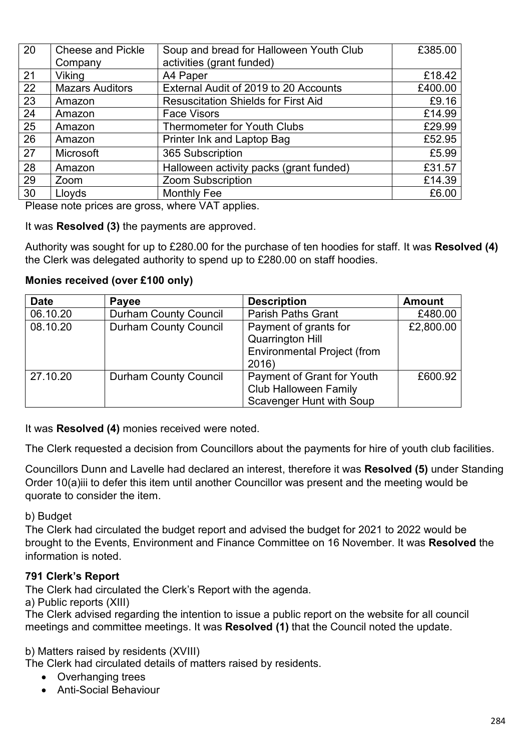| 20 | <b>Cheese and Pickle</b> | Soup and bread for Halloween Youth Club    | £385.00 |
|----|--------------------------|--------------------------------------------|---------|
|    | Company                  | activities (grant funded)                  |         |
| 21 | Viking                   | A4 Paper                                   | £18.42  |
| 22 | <b>Mazars Auditors</b>   | External Audit of 2019 to 20 Accounts      | £400.00 |
| 23 | Amazon                   | <b>Resuscitation Shields for First Aid</b> | £9.16   |
| 24 | Amazon                   | <b>Face Visors</b>                         | £14.99  |
| 25 | Amazon                   | <b>Thermometer for Youth Clubs</b>         | £29.99  |
| 26 | Amazon                   | Printer Ink and Laptop Bag                 | £52.95  |
| 27 | Microsoft                | 365 Subscription                           | £5.99   |
| 28 | Amazon                   | Halloween activity packs (grant funded)    | £31.57  |
| 29 | Zoom                     | <b>Zoom Subscription</b>                   | £14.39  |
| 30 | Lloyds                   | <b>Monthly Fee</b>                         | £6.00   |

Please note prices are gross, where VAT applies.

It was **Resolved (3)** the payments are approved.

Authority was sought for up to £280.00 for the purchase of ten hoodies for staff. It was **Resolved (4)** the Clerk was delegated authority to spend up to £280.00 on staff hoodies.

# **Monies received (over £100 only)**

| <b>Date</b> | Payee                        | <b>Description</b>                                                                              | <b>Amount</b> |
|-------------|------------------------------|-------------------------------------------------------------------------------------------------|---------------|
| 06.10.20    | <b>Durham County Council</b> | <b>Parish Paths Grant</b>                                                                       | £480.00       |
| 08.10.20    | <b>Durham County Council</b> | Payment of grants for<br><b>Quarrington Hill</b><br><b>Environmental Project (from</b><br>2016) | £2,800.00     |
| 27.10.20    | <b>Durham County Council</b> | Payment of Grant for Youth<br><b>Club Halloween Family</b><br><b>Scavenger Hunt with Soup</b>   | £600.92       |

It was **Resolved (4)** monies received were noted.

The Clerk requested a decision from Councillors about the payments for hire of youth club facilities.

Councillors Dunn and Lavelle had declared an interest, therefore it was **Resolved (5)** under Standing Order 10(a)iii to defer this item until another Councillor was present and the meeting would be quorate to consider the item.

#### b) Budget

The Clerk had circulated the budget report and advised the budget for 2021 to 2022 would be brought to the Events, Environment and Finance Committee on 16 November. It was **Resolved** the information is noted.

#### **791 Clerk's Report**

The Clerk had circulated the Clerk's Report with the agenda.

a) Public reports (XIII)

The Clerk advised regarding the intention to issue a public report on the website for all council meetings and committee meetings. It was **Resolved (1)** that the Council noted the update.

b) Matters raised by residents (XVIII)

The Clerk had circulated details of matters raised by residents.

- Overhanging trees
- Anti-Social Behaviour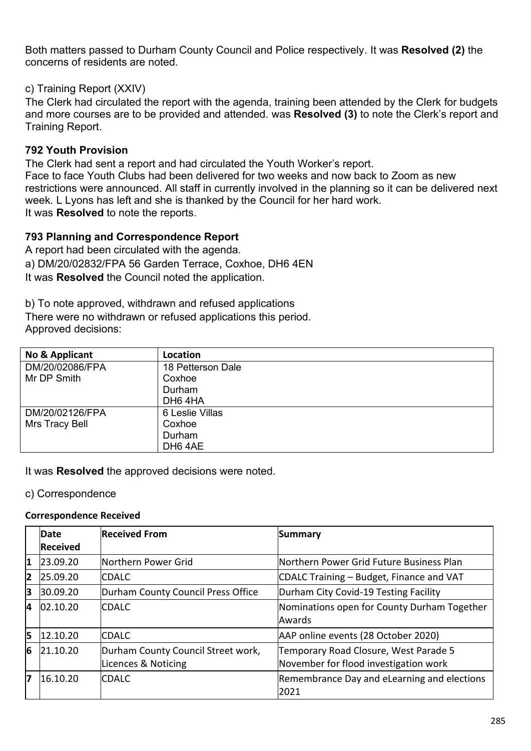Both matters passed to Durham County Council and Police respectively. It was **Resolved (2)** the concerns of residents are noted.

#### c) Training Report (XXIV)

The Clerk had circulated the report with the agenda, training been attended by the Clerk for budgets and more courses are to be provided and attended. was **Resolved (3)** to note the Clerk's report and Training Report.

# **792 Youth Provision**

The Clerk had sent a report and had circulated the Youth Worker's report. Face to face Youth Clubs had been delivered for two weeks and now back to Zoom as new restrictions were announced. All staff in currently involved in the planning so it can be delivered next week. L Lyons has left and she is thanked by the Council for her hard work. It was **Resolved** to note the reports.

# **793 Planning and Correspondence Report**

A report had been circulated with the agenda. a) DM/20/02832/FPA 56 Garden Terrace, Coxhoe, DH6 4EN It was **Resolved** the Council noted the application.

b) To note approved, withdrawn and refused applications There were no withdrawn or refused applications this period. Approved decisions:

| No & Applicant  | Location            |
|-----------------|---------------------|
| DM/20/02086/FPA | 18 Petterson Dale   |
| Mr DP Smith     | Coxhoe              |
|                 | Durham              |
|                 | DH64HA              |
| DM/20/02126/FPA | 6 Leslie Villas     |
| Mrs Tracy Bell  | Coxhoe              |
|                 | Durham              |
|                 | DH <sub>6</sub> 4AE |

It was **Resolved** the approved decisions were noted.

#### c) Correspondence

#### **Correspondence Received**

|    | Date            | <b>Received From</b>               | Summary                                     |
|----|-----------------|------------------------------------|---------------------------------------------|
|    | <b>Received</b> |                                    |                                             |
| 1  | 23.09.20        | Northern Power Grid                | Northern Power Grid Future Business Plan    |
| 2  | 25.09.20        | <b>CDALC</b>                       | CDALC Training – Budget, Finance and VAT    |
| 13 | 30.09.20        | Durham County Council Press Office | Durham City Covid-19 Testing Facility       |
| 4  | [02.10.20]      | <b>CDALC</b>                       | Nominations open for County Durham Together |
|    |                 |                                    | Awards                                      |
| 5  | 12.10.20        | <b>CDALC</b>                       | AAP online events (28 October 2020)         |
| 6  | 21.10.20        | Durham County Council Street work, | Temporary Road Closure, West Parade 5       |
|    |                 | Licences & Noticing                | November for flood investigation work       |
| 17 | 16.10.20        | <b>CDALC</b>                       | Remembrance Day and eLearning and elections |
|    |                 |                                    | 2021                                        |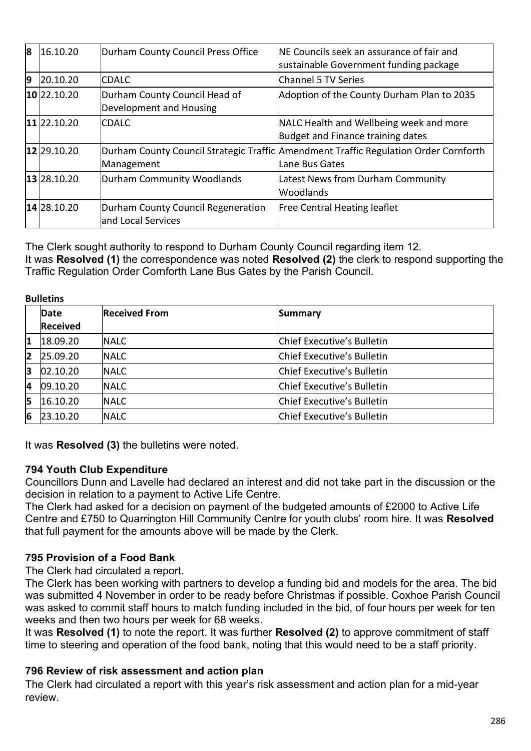| 8              | 16.10.20      | Durham County Council Press Office                        | <b>NE Councils seek an assurance of fair and</b><br>sustainable Government funding package             |
|----------------|---------------|-----------------------------------------------------------|--------------------------------------------------------------------------------------------------------|
| $\overline{9}$ | 20.10.20      | <b>CDALC</b>                                              | Channel 5 TV Series                                                                                    |
|                | $10$ 22.10.20 | Durham County Council Head of<br>Development and Housing  | Adoption of the County Durham Plan to 2035                                                             |
|                | 11 22.10.20   | <b>CDALC</b>                                              | NALC Health and Wellbeing week and more<br>Budget and Finance training dates                           |
|                | 12 29.10.20   | Management                                                | Durham County Council Strategic Traffic Amendment Traffic Regulation Order Cornforth<br>Lane Bus Gates |
|                | 13 28.10.20   | Durham Community Woodlands                                | Latest News from Durham Community<br><b>Woodlands</b>                                                  |
|                | 14 28.10.20   | Durham County Council Regeneration<br>land Local Services | <b>Free Central Heating leaflet</b>                                                                    |

The Clerk sought authority to respond to Durham County Council regarding item 12. It was **Resolved (1)** the correspondence was noted **Resolved (2)** the clerk to respond supporting the Traffic Regulation Order Cornforth Lane Bus Gates by the Parish Council.

| <b>Bulletins</b> |                 |                      |                            |
|------------------|-----------------|----------------------|----------------------------|
|                  | Date            | <b>Received From</b> | Summary                    |
|                  | <b>Received</b> |                      |                            |
| 1                | 18.09.20        | <b>NALC</b>          | Chief Executive's Bulletin |
| $\overline{2}$   | 25.09.20        | <b>NALC</b>          | Chief Executive's Bulletin |
| 3                | 02.10.20        | <b>NALC</b>          | Chief Executive's Bulletin |
| 4                | 09.10.20        | <b>NALC</b>          | Chief Executive's Bulletin |
| 15               | 16.10.20        | <b>NALC</b>          | Chief Executive's Bulletin |
| 6                | 23.10.20        | <b>NALC</b>          | Chief Executive's Bulletin |

It was **Resolved (3)** the bulletins were noted.

#### **794 Youth Club Expenditure**

Councillors Dunn and Lavelle had declared an interest and did not take part in the discussion or the decision in relation to a payment to Active Life Centre.

The Clerk had asked for a decision on payment of the budgeted amounts of £2000 to Active Life Centre and £750 to Quarrington Hill Community Centre for youth clubs' room hire. It was **Resolved** that full payment for the amounts above will be made by the Clerk.

#### **795 Provision of a Food Bank**

The Clerk had circulated a report.

The Clerk has been working with partners to develop a funding bid and models for the area. The bid was submitted 4 November in order to be ready before Christmas if possible. Coxhoe Parish Council was asked to commit staff hours to match funding included in the bid, of four hours per week for ten weeks and then two hours per week for 68 weeks.

It was **Resolved (1)** to note the report. It was further **Resolved (2)** to approve commitment of staff time to steering and operation of the food bank, noting that this would need to be a staff priority.

#### **796 Review of risk assessment and action plan**

The Clerk had circulated a report with this year's risk assessment and action plan for a mid-year review.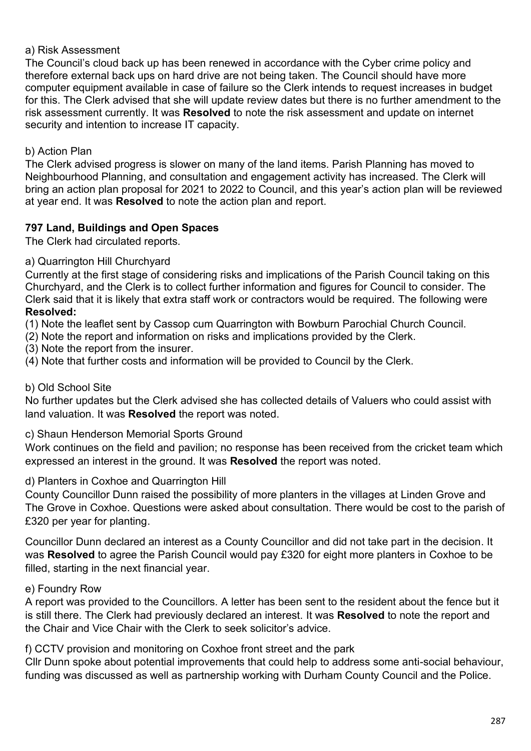#### a) Risk Assessment

The Council's cloud back up has been renewed in accordance with the Cyber crime policy and therefore external back ups on hard drive are not being taken. The Council should have more computer equipment available in case of failure so the Clerk intends to request increases in budget for this. The Clerk advised that she will update review dates but there is no further amendment to the risk assessment currently. It was **Resolved** to note the risk assessment and update on internet security and intention to increase IT capacity.

#### b) Action Plan

The Clerk advised progress is slower on many of the land items. Parish Planning has moved to Neighbourhood Planning, and consultation and engagement activity has increased. The Clerk will bring an action plan proposal for 2021 to 2022 to Council, and this year's action plan will be reviewed at year end. It was **Resolved** to note the action plan and report.

#### **797 Land, Buildings and Open Spaces**

The Clerk had circulated reports.

#### a) Quarrington Hill Churchyard

Currently at the first stage of considering risks and implications of the Parish Council taking on this Churchyard, and the Clerk is to collect further information and figures for Council to consider. The Clerk said that it is likely that extra staff work or contractors would be required. The following were **Resolved:**

(1) Note the leaflet sent by Cassop cum Quarrington with Bowburn Parochial Church Council.

(2) Note the report and information on risks and implications provided by the Clerk.

(3) Note the report from the insurer.

(4) Note that further costs and information will be provided to Council by the Clerk.

#### b) Old School Site

No further updates but the Clerk advised she has collected details of Valuers who could assist with land valuation. It was **Resolved** the report was noted.

c) Shaun Henderson Memorial Sports Ground

Work continues on the field and pavilion; no response has been received from the cricket team which expressed an interest in the ground. It was **Resolved** the report was noted.

#### d) Planters in Coxhoe and Quarrington Hill

County Councillor Dunn raised the possibility of more planters in the villages at Linden Grove and The Grove in Coxhoe. Questions were asked about consultation. There would be cost to the parish of £320 per year for planting.

Councillor Dunn declared an interest as a County Councillor and did not take part in the decision. It was **Resolved** to agree the Parish Council would pay £320 for eight more planters in Coxhoe to be filled, starting in the next financial year.

#### e) Foundry Row

A report was provided to the Councillors. A letter has been sent to the resident about the fence but it is still there. The Clerk had previously declared an interest. It was **Resolved** to note the report and the Chair and Vice Chair with the Clerk to seek solicitor's advice.

f) CCTV provision and monitoring on Coxhoe front street and the park

Cllr Dunn spoke about potential improvements that could help to address some anti-social behaviour, funding was discussed as well as partnership working with Durham County Council and the Police.